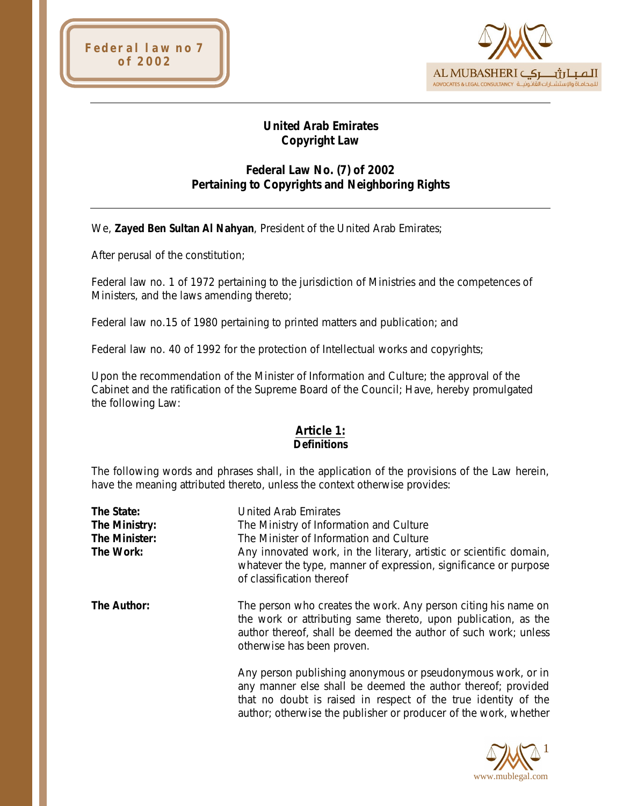



# **United Arab Emirates Copyright Law**

# **Federal Law No. (7) of 2002 Pertaining to Copyrights and Neighboring Rights**

We, **Zayed Ben Sultan Al Nahyan**, President of the United Arab Emirates;

After perusal of the constitution;

Federal law no. 1 of 1972 pertaining to the jurisdiction of Ministries and the competences of Ministers, and the laws amending thereto;

Federal law no.15 of 1980 pertaining to printed matters and publication; and

Federal law no. 40 of 1992 for the protection of Intellectual works and copyrights;

Upon the recommendation of the Minister of Information and Culture; the approval of the Cabinet and the ratification of the Supreme Board of the Council; Have, hereby promulgated the following Law:

#### **Article 1: Definitions**

The following words and phrases shall, in the application of the provisions of the Law herein, have the meaning attributed thereto, unless the context otherwise provides:

| The State:    | United Arab Emirates                                                                                                                                                                                                                                              |
|---------------|-------------------------------------------------------------------------------------------------------------------------------------------------------------------------------------------------------------------------------------------------------------------|
| The Ministry: | The Ministry of Information and Culture                                                                                                                                                                                                                           |
| The Minister: | The Minister of Information and Culture                                                                                                                                                                                                                           |
| The Work:     | Any innovated work, in the literary, artistic or scientific domain,<br>whatever the type, manner of expression, significance or purpose<br>of classification thereof                                                                                              |
| The Author:   | The person who creates the work. Any person citing his name on<br>the work or attributing same thereto, upon publication, as the<br>author thereof, shall be deemed the author of such work; unless<br>otherwise has been proven.                                 |
|               | Any person publishing anonymous or pseudonymous work, or in<br>any manner else shall be deemed the author thereof; provided<br>that no doubt is raised in respect of the true identity of the<br>author; otherwise the publisher or producer of the work, whether |

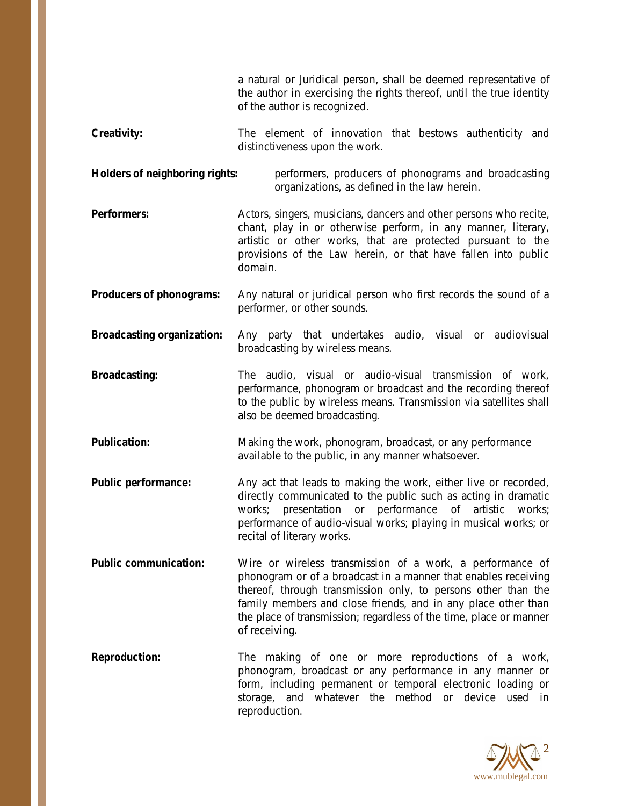a natural or Juridical person, shall be deemed representative of the author in exercising the rights thereof, until the true identity of the author is recognized.

Creativity: The element of innovation that bestows authenticity and distinctiveness upon the work.

**Holders of neighboring rights:** performers, producers of phonograms and broadcasting organizations, as defined in the law herein.

**Performers:** Actors, singers, musicians, dancers and other persons who recite, chant, play in or otherwise perform, in any manner, literary, artistic or other works, that are protected pursuant to the provisions of the Law herein, or that have fallen into public domain.

**Producers of phonograms:** Any natural or juridical person who first records the sound of a performer, or other sounds.

**Broadcasting organization:** Any party that undertakes audio, visual or audiovisual broadcasting by wireless means.

**Broadcasting:** The audio, visual or audio-visual transmission of work, performance, phonogram or broadcast and the recording thereof to the public by wireless means. Transmission via satellites shall also be deemed broadcasting.

**Publication:** Making the work, phonogram, broadcast, or any performance available to the public, in any manner whatsoever.

- **Public performance:** Any act that leads to making the work, either live or recorded, directly communicated to the public such as acting in dramatic works; presentation or performance of artistic works; performance of audio-visual works; playing in musical works; or recital of literary works.
- **Public communication:** Wire or wireless transmission of a work, a performance of phonogram or of a broadcast in a manner that enables receiving thereof, through transmission only, to persons other than the family members and close friends, and in any place other than the place of transmission; regardless of the time, place or manner of receiving.
- **Reproduction:** The making of one or more reproductions of a work, phonogram, broadcast or any performance in any manner or form, including permanent or temporal electronic loading or storage, and whatever the method or device used in reproduction.

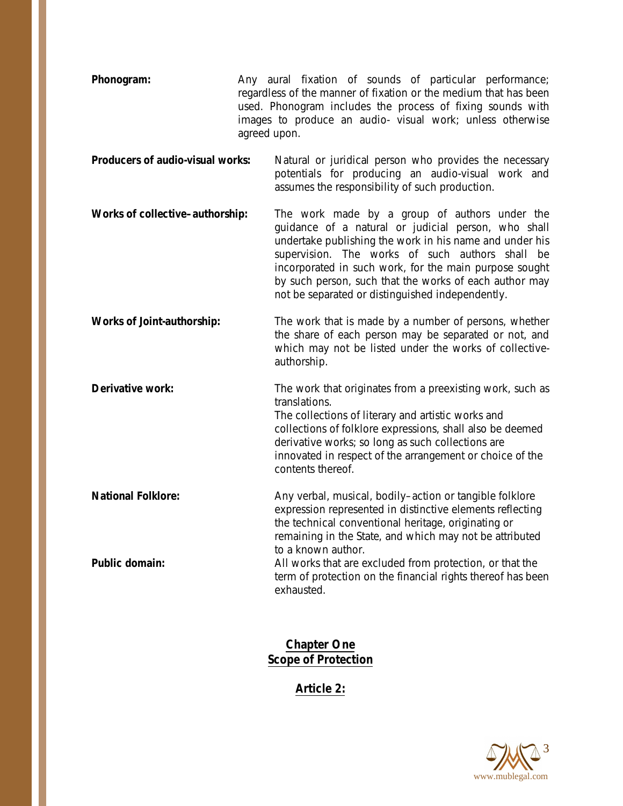- **Phonogram:** Any aural fixation of sounds of particular performance; regardless of the manner of fixation or the medium that has been used. Phonogram includes the process of fixing sounds with images to produce an audio- visual work; unless otherwise agreed upon.
- **Producers of audio-visual works:** Natural or juridical person who provides the necessary potentials for producing an audio-visual work and assumes the responsibility of such production.
- **Works of collective–authorship:** The work made by a group of authors under the guidance of a natural or judicial person, who shall undertake publishing the work in his name and under his supervision. The works of such authors shall be incorporated in such work, for the main purpose sought by such person, such that the works of each author may not be separated or distinguished independently.
- **Works of Joint-authorship:** The work that is made by a number of persons, whether the share of each person may be separated or not, and which may not be listed under the works of collectiveauthorship.
- **Derivative work:** The work that originates from a preexisting work, such as translations.

The collections of literary and artistic works and collections of folklore expressions, shall also be deemed derivative works; so long as such collections are innovated in respect of the arrangement or choice of the contents thereof.

**National Folklore:** Any verbal, musical, bodily–action or tangible folklore expression represented in distinctive elements reflecting the technical conventional heritage, originating or remaining in the State, and which may not be attributed to a known author. **Public domain:** All works that are excluded from protection, or that the term of protection on the financial rights thereof has been

exhausted.

**Chapter One Scope of Protection**

**Article 2:**

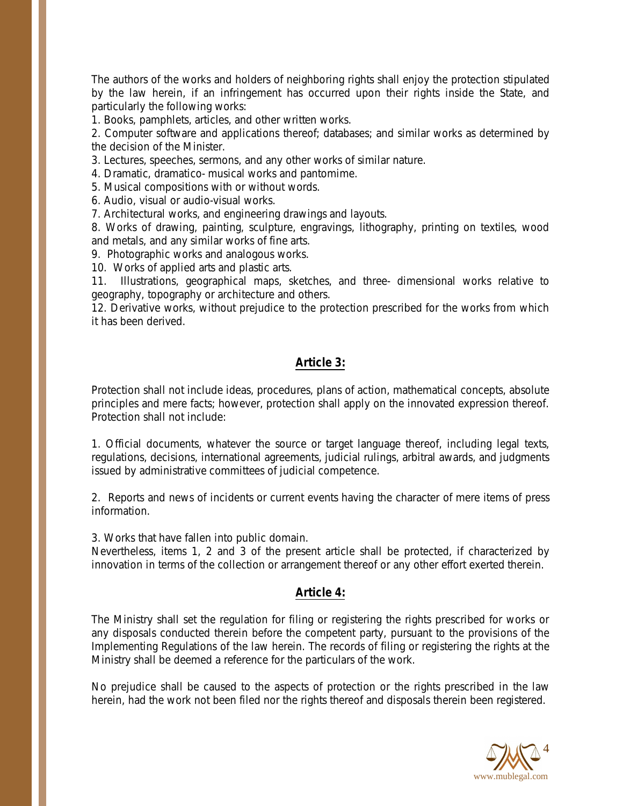The authors of the works and holders of neighboring rights shall enjoy the protection stipulated by the law herein, if an infringement has occurred upon their rights inside the State, and particularly the following works:

1. Books, pamphlets, articles, and other written works.

2. Computer software and applications thereof; databases; and similar works as determined by the decision of the Minister.

3. Lectures, speeches, sermons, and any other works of similar nature.

4. Dramatic, dramatico- musical works and pantomime.

5. Musical compositions with or without words.

6. Audio, visual or audio-visual works.

7. Architectural works, and engineering drawings and layouts.

8. Works of drawing, painting, sculpture, engravings, lithography, printing on textiles, wood and metals, and any similar works of fine arts.

9. Photographic works and analogous works.

10. Works of applied arts and plastic arts.

11. Illustrations, geographical maps, sketches, and three- dimensional works relative to geography, topography or architecture and others.

12. Derivative works, without prejudice to the protection prescribed for the works from which it has been derived.

#### **Article 3:**

Protection shall not include ideas, procedures, plans of action, mathematical concepts, absolute principles and mere facts; however, protection shall apply on the innovated expression thereof. Protection shall not include:

1. Official documents, whatever the source or target language thereof, including legal texts, regulations, decisions, international agreements, judicial rulings, arbitral awards, and judgments issued by administrative committees of judicial competence.

2. Reports and news of incidents or current events having the character of mere items of press information.

3. Works that have fallen into public domain.

Nevertheless, items 1, 2 and 3 of the present article shall be protected, if characterized by innovation in terms of the collection or arrangement thereof or any other effort exerted therein.

## **Article 4:**

The Ministry shall set the regulation for filing or registering the rights prescribed for works or any disposals conducted therein before the competent party, pursuant to the provisions of the Implementing Regulations of the law herein. The records of filing or registering the rights at the Ministry shall be deemed a reference for the particulars of the work.

No prejudice shall be caused to the aspects of protection or the rights prescribed in the law herein, had the work not been filed nor the rights thereof and disposals therein been registered.

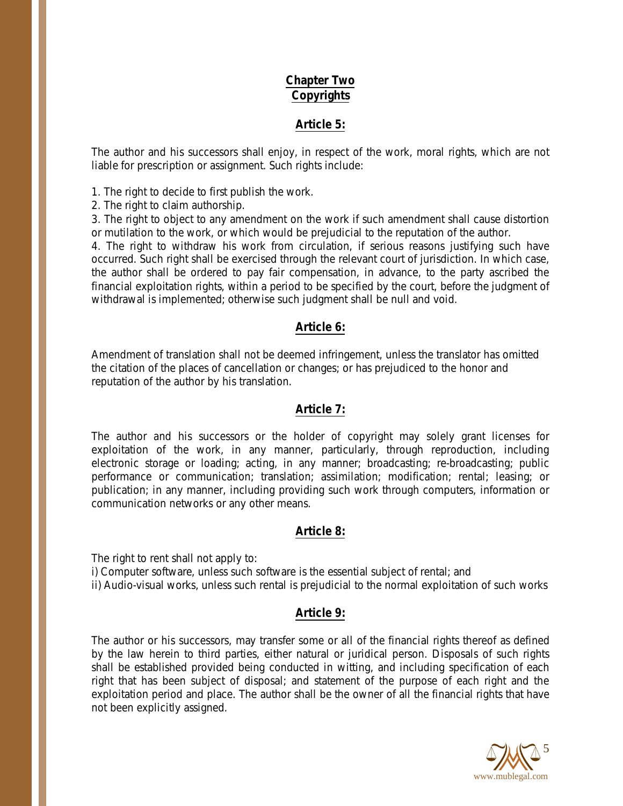# **Chapter Two Copyrights**

## **Article 5:**

The author and his successors shall enjoy, in respect of the work, moral rights, which are not liable for prescription or assignment. Such rights include:

1. The right to decide to first publish the work.

2. The right to claim authorship.

3. The right to object to any amendment on the work if such amendment shall cause distortion or mutilation to the work, or which would be prejudicial to the reputation of the author.

4. The right to withdraw his work from circulation, if serious reasons justifying such have occurred. Such right shall be exercised through the relevant court of jurisdiction. In which case, the author shall be ordered to pay fair compensation, in advance, to the party ascribed the financial exploitation rights, within a period to be specified by the court, before the judgment of withdrawal is implemented; otherwise such judgment shall be null and void.

## **Article 6:**

Amendment of translation shall not be deemed infringement, unless the translator has omitted the citation of the places of cancellation or changes; or has prejudiced to the honor and reputation of the author by his translation.

## **Article 7:**

The author and his successors or the holder of copyright may solely grant licenses for exploitation of the work, in any manner, particularly, through reproduction, including electronic storage or loading; acting, in any manner; broadcasting; re-broadcasting; public performance or communication; translation; assimilation; modification; rental; leasing; or publication; in any manner, including providing such work through computers, information or communication networks or any other means.

## **Article 8:**

The right to rent shall not apply to: i) Computer software, unless such software is the essential subject of rental; and ii) Audio-visual works, unless such rental is prejudicial to the normal exploitation of such works

## **Article 9:**

The author or his successors, may transfer some or all of the financial rights thereof as defined by the law herein to third parties, either natural or juridical person. Disposals of such rights shall be established provided being conducted in witting, and including specification of each right that has been subject of disposal; and statement of the purpose of each right and the exploitation period and place. The author shall be the owner of all the financial rights that have not been explicitly assigned.

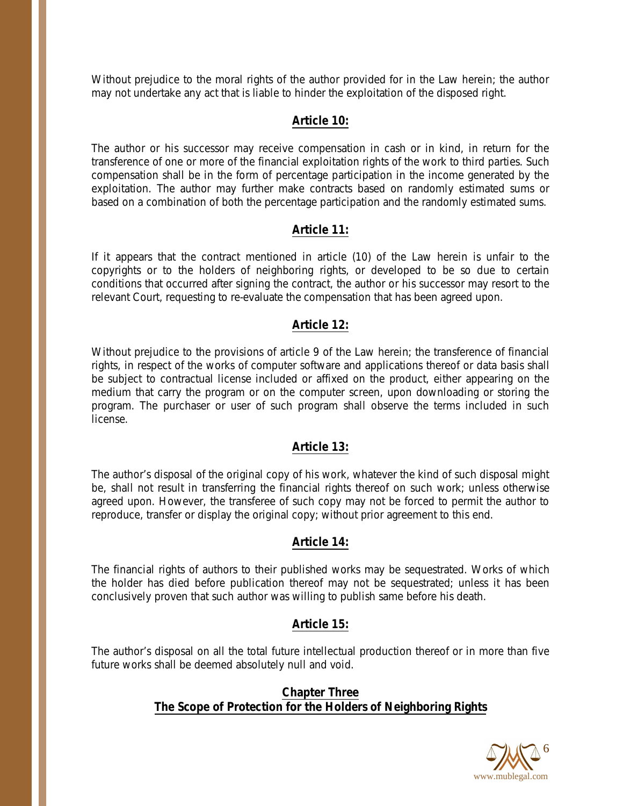Without prejudice to the moral rights of the author provided for in the Law herein; the author may not undertake any act that is liable to hinder the exploitation of the disposed right.

## **Article 10:**

The author or his successor may receive compensation in cash or in kind, in return for the transference of one or more of the financial exploitation rights of the work to third parties. Such compensation shall be in the form of percentage participation in the income generated by the exploitation. The author may further make contracts based on randomly estimated sums or based on a combination of both the percentage participation and the randomly estimated sums.

# **Article 11:**

If it appears that the contract mentioned in article (10) of the Law herein is unfair to the copyrights or to the holders of neighboring rights, or developed to be so due to certain conditions that occurred after signing the contract, the author or his successor may resort to the relevant Court, requesting to re-evaluate the compensation that has been agreed upon.

## **Article 12:**

Without prejudice to the provisions of article 9 of the Law herein; the transference of financial rights, in respect of the works of computer software and applications thereof or data basis shall be subject to contractual license included or affixed on the product, either appearing on the medium that carry the program or on the computer screen, upon downloading or storing the program. The purchaser or user of such program shall observe the terms included in such license.

## **Article 13:**

The author's disposal of the original copy of his work, whatever the kind of such disposal might be, shall not result in transferring the financial rights thereof on such work; unless otherwise agreed upon. However, the transferee of such copy may not be forced to permit the author to reproduce, transfer or display the original copy; without prior agreement to this end.

# **Article 14:**

The financial rights of authors to their published works may be sequestrated. Works of which the holder has died before publication thereof may not be sequestrated; unless it has been conclusively proven that such author was willing to publish same before his death.

# **Article 15:**

The author's disposal on all the total future intellectual production thereof or in more than five future works shall be deemed absolutely null and void.

#### **Chapter Three The Scope of Protection for the Holders of Neighboring Rights**

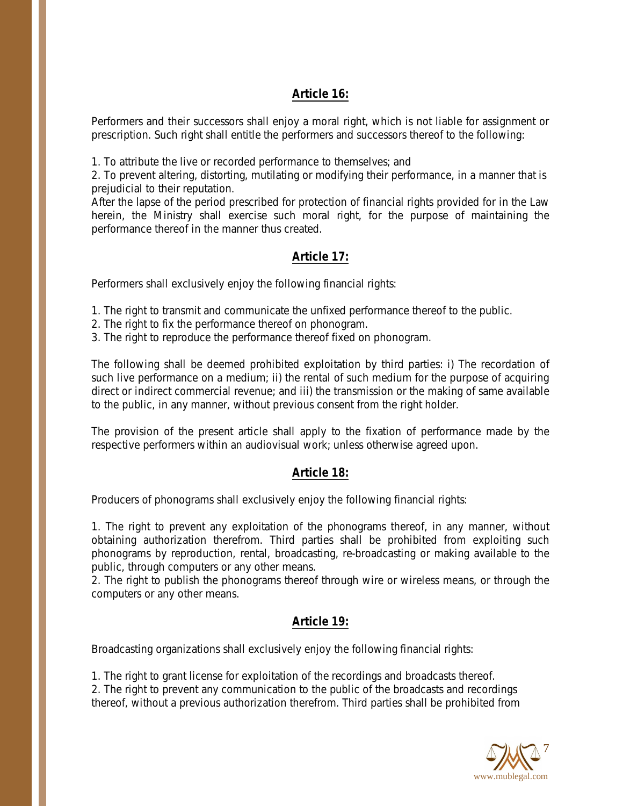## **Article 16:**

Performers and their successors shall enjoy a moral right, which is not liable for assignment or prescription. Such right shall entitle the performers and successors thereof to the following:

1. To attribute the live or recorded performance to themselves; and

2. To prevent altering, distorting, mutilating or modifying their performance, in a manner that is prejudicial to their reputation.

After the lapse of the period prescribed for protection of financial rights provided for in the Law herein, the Ministry shall exercise such moral right, for the purpose of maintaining the performance thereof in the manner thus created.

# **Article 17:**

Performers shall exclusively enjoy the following financial rights:

1. The right to transmit and communicate the unfixed performance thereof to the public.

- 2. The right to fix the performance thereof on phonogram.
- 3. The right to reproduce the performance thereof fixed on phonogram.

The following shall be deemed prohibited exploitation by third parties: i) The recordation of such live performance on a medium; ii) the rental of such medium for the purpose of acquiring direct or indirect commercial revenue; and iii) the transmission or the making of same available to the public, in any manner, without previous consent from the right holder.

The provision of the present article shall apply to the fixation of performance made by the respective performers within an audiovisual work; unless otherwise agreed upon.

## **Article 18:**

Producers of phonograms shall exclusively enjoy the following financial rights:

1. The right to prevent any exploitation of the phonograms thereof, in any manner, without obtaining authorization therefrom. Third parties shall be prohibited from exploiting such phonograms by reproduction, rental, broadcasting, re-broadcasting or making available to the public, through computers or any other means.

2. The right to publish the phonograms thereof through wire or wireless means, or through the computers or any other means.

## **Article 19:**

Broadcasting organizations shall exclusively enjoy the following financial rights:

1. The right to grant license for exploitation of the recordings and broadcasts thereof. 2. The right to prevent any communication to the public of the broadcasts and recordings thereof, without a previous authorization therefrom. Third parties shall be prohibited from

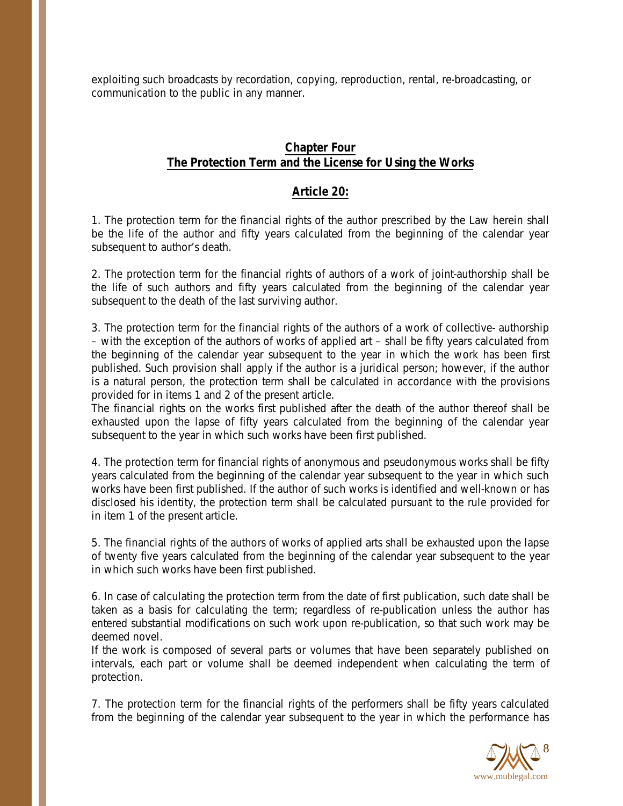exploiting such broadcasts by recordation, copying, reproduction, rental, re-broadcasting, or communication to the public in any manner.

## **Chapter Four The Protection Term and the License for Using the Works**

#### **Article 20:**

1. The protection term for the financial rights of the author prescribed by the Law herein shall be the life of the author and fifty years calculated from the beginning of the calendar year subsequent to author's death.

2. The protection term for the financial rights of authors of a work of joint-authorship shall be the life of such authors and fifty years calculated from the beginning of the calendar year subsequent to the death of the last surviving author.

3. The protection term for the financial rights of the authors of a work of collective- authorship – with the exception of the authors of works of applied art – shall be fifty years calculated from the beginning of the calendar year subsequent to the year in which the work has been first published. Such provision shall apply if the author is a juridical person; however, if the author is a natural person, the protection term shall be calculated in accordance with the provisions provided for in items 1 and 2 of the present article.

The financial rights on the works first published after the death of the author thereof shall be exhausted upon the lapse of fifty years calculated from the beginning of the calendar year subsequent to the year in which such works have been first published.

4. The protection term for financial rights of anonymous and pseudonymous works shall be fifty years calculated from the beginning of the calendar year subsequent to the year in which such works have been first published. If the author of such works is identified and well-known or has disclosed his identity, the protection term shall be calculated pursuant to the rule provided for in item 1 of the present article.

5. The financial rights of the authors of works of applied arts shall be exhausted upon the lapse of twenty five years calculated from the beginning of the calendar year subsequent to the year in which such works have been first published.

6. In case of calculating the protection term from the date of first publication, such date shall be taken as a basis for calculating the term; regardless of re-publication unless the author has entered substantial modifications on such work upon re-publication, so that such work may be deemed novel.

If the work is composed of several parts or volumes that have been separately published on intervals, each part or volume shall be deemed independent when calculating the term of protection.

7. The protection term for the financial rights of the performers shall be fifty years calculated from the beginning of the calendar year subsequent to the year in which the performance has

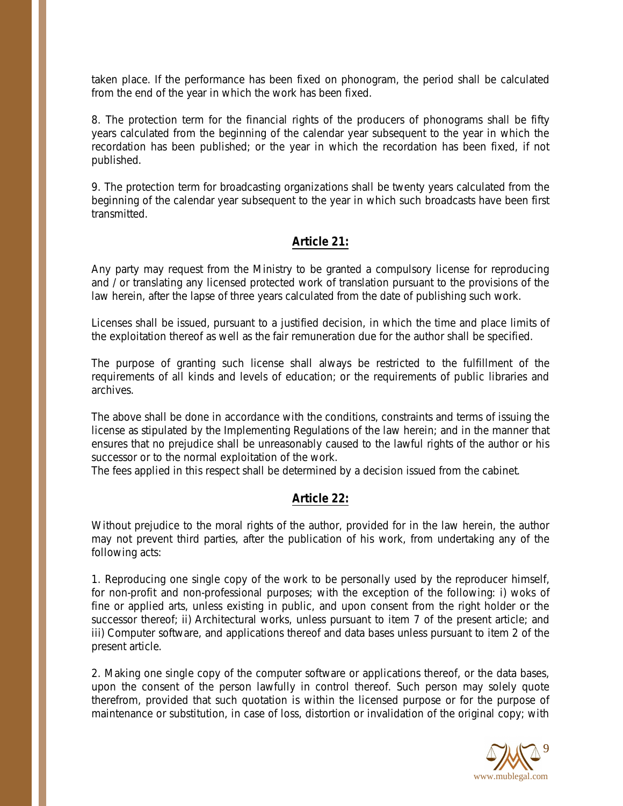taken place. If the performance has been fixed on phonogram, the period shall be calculated from the end of the year in which the work has been fixed.

8. The protection term for the financial rights of the producers of phonograms shall be fifty years calculated from the beginning of the calendar year subsequent to the year in which the recordation has been published; or the year in which the recordation has been fixed, if not published.

9. The protection term for broadcasting organizations shall be twenty years calculated from the beginning of the calendar year subsequent to the year in which such broadcasts have been first transmitted.

## **Article 21:**

Any party may request from the Ministry to be granted a compulsory license for reproducing and / or translating any licensed protected work of translation pursuant to the provisions of the law herein, after the lapse of three years calculated from the date of publishing such work.

Licenses shall be issued, pursuant to a justified decision, in which the time and place limits of the exploitation thereof as well as the fair remuneration due for the author shall be specified.

The purpose of granting such license shall always be restricted to the fulfillment of the requirements of all kinds and levels of education; or the requirements of public libraries and archives.

The above shall be done in accordance with the conditions, constraints and terms of issuing the license as stipulated by the Implementing Regulations of the law herein; and in the manner that ensures that no prejudice shall be unreasonably caused to the lawful rights of the author or his successor or to the normal exploitation of the work.

The fees applied in this respect shall be determined by a decision issued from the cabinet.

## **Article 22:**

Without prejudice to the moral rights of the author, provided for in the law herein, the author may not prevent third parties, after the publication of his work, from undertaking any of the following acts:

1. Reproducing one single copy of the work to be personally used by the reproducer himself, for non-profit and non-professional purposes; with the exception of the following: i) woks of fine or applied arts, unless existing in public, and upon consent from the right holder or the successor thereof; ii) Architectural works, unless pursuant to item 7 of the present article; and iii) Computer software, and applications thereof and data bases unless pursuant to item 2 of the present article.

2. Making one single copy of the computer software or applications thereof, or the data bases, upon the consent of the person lawfully in control thereof. Such person may solely quote therefrom, provided that such quotation is within the licensed purpose or for the purpose of maintenance or substitution, in case of loss, distortion or invalidation of the original copy; with

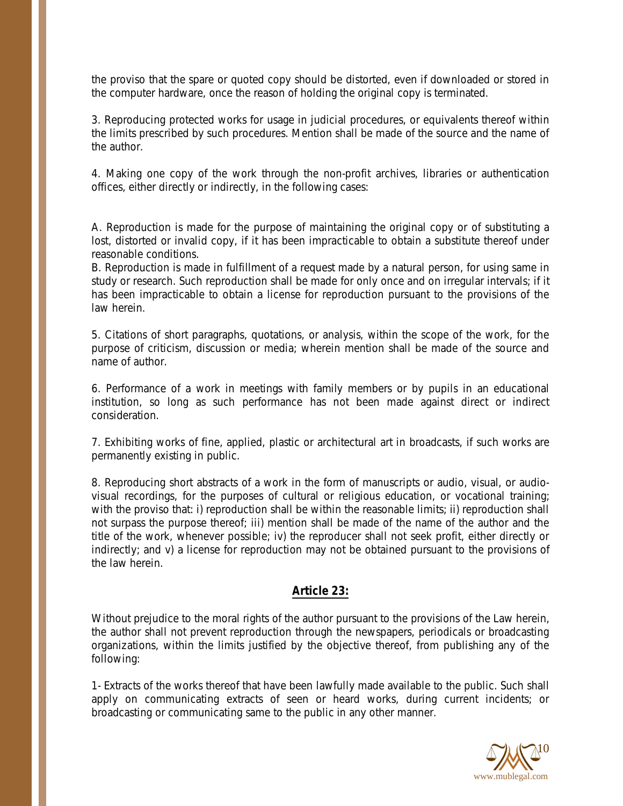the proviso that the spare or quoted copy should be distorted, even if downloaded or stored in the computer hardware, once the reason of holding the original copy is terminated.

3. Reproducing protected works for usage in judicial procedures, or equivalents thereof within the limits prescribed by such procedures. Mention shall be made of the source and the name of the author.

4. Making one copy of the work through the non-profit archives, libraries or authentication offices, either directly or indirectly, in the following cases:

A. Reproduction is made for the purpose of maintaining the original copy or of substituting a lost, distorted or invalid copy, if it has been impracticable to obtain a substitute thereof under reasonable conditions.

B. Reproduction is made in fulfillment of a request made by a natural person, for using same in study or research. Such reproduction shall be made for only once and on irregular intervals; if it has been impracticable to obtain a license for reproduction pursuant to the provisions of the law herein.

5. Citations of short paragraphs, quotations, or analysis, within the scope of the work, for the purpose of criticism, discussion or media; wherein mention shall be made of the source and name of author.

6. Performance of a work in meetings with family members or by pupils in an educational institution, so long as such performance has not been made against direct or indirect consideration.

7. Exhibiting works of fine, applied, plastic or architectural art in broadcasts, if such works are permanently existing in public.

8. Reproducing short abstracts of a work in the form of manuscripts or audio, visual, or audiovisual recordings, for the purposes of cultural or religious education, or vocational training; with the proviso that: i) reproduction shall be within the reasonable limits; ii) reproduction shall not surpass the purpose thereof; iii) mention shall be made of the name of the author and the title of the work, whenever possible; iv) the reproducer shall not seek profit, either directly or indirectly; and v) a license for reproduction may not be obtained pursuant to the provisions of the law herein.

## **Article 23:**

Without prejudice to the moral rights of the author pursuant to the provisions of the Law herein, the author shall not prevent reproduction through the newspapers, periodicals or broadcasting organizations, within the limits justified by the objective thereof, from publishing any of the following:

1- Extracts of the works thereof that have been lawfully made available to the public. Such shall apply on communicating extracts of seen or heard works, during current incidents; or broadcasting or communicating same to the public in any other manner.

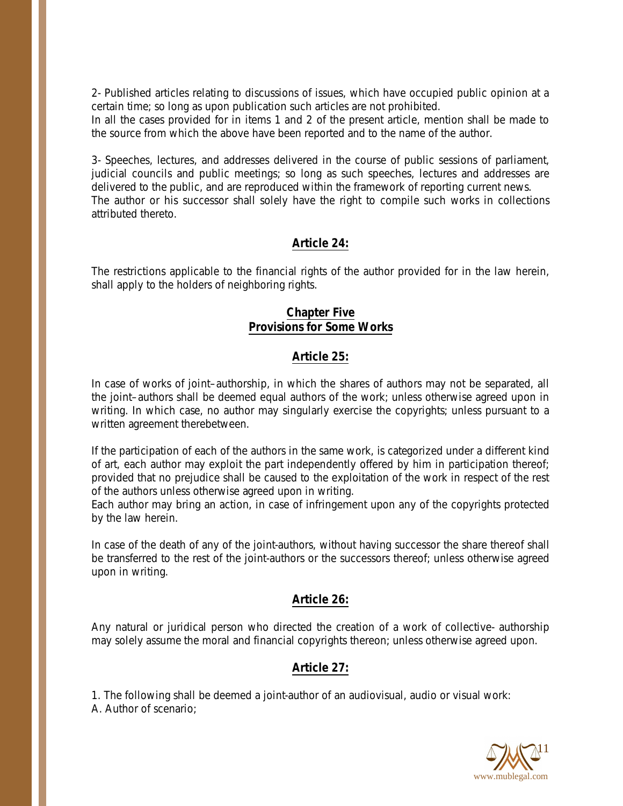2- Published articles relating to discussions of issues, which have occupied public opinion at a certain time; so long as upon publication such articles are not prohibited.

In all the cases provided for in items 1 and 2 of the present article, mention shall be made to the source from which the above have been reported and to the name of the author.

3- Speeches, lectures, and addresses delivered in the course of public sessions of parliament, judicial councils and public meetings; so long as such speeches, lectures and addresses are delivered to the public, and are reproduced within the framework of reporting current news. The author or his successor shall solely have the right to compile such works in collections attributed thereto.

# **Article 24:**

The restrictions applicable to the financial rights of the author provided for in the law herein, shall apply to the holders of neighboring rights.

#### **Chapter Five Provisions for Some Works**

# **Article 25:**

In case of works of joint–authorship, in which the shares of authors may not be separated, all the joint–authors shall be deemed equal authors of the work; unless otherwise agreed upon in writing. In which case, no author may singularly exercise the copyrights; unless pursuant to a written agreement therebetween.

If the participation of each of the authors in the same work, is categorized under a different kind of art, each author may exploit the part independently offered by him in participation thereof; provided that no prejudice shall be caused to the exploitation of the work in respect of the rest of the authors unless otherwise agreed upon in writing.

Each author may bring an action, in case of infringement upon any of the copyrights protected by the law herein.

In case of the death of any of the joint-authors, without having successor the share thereof shall be transferred to the rest of the joint-authors or the successors thereof; unless otherwise agreed upon in writing.

## **Article 26:**

Any natural or juridical person who directed the creation of a work of collective- authorship may solely assume the moral and financial copyrights thereon; unless otherwise agreed upon.

## **Article 27:**

1. The following shall be deemed a joint-author of an audiovisual, audio or visual work: A. Author of scenario;

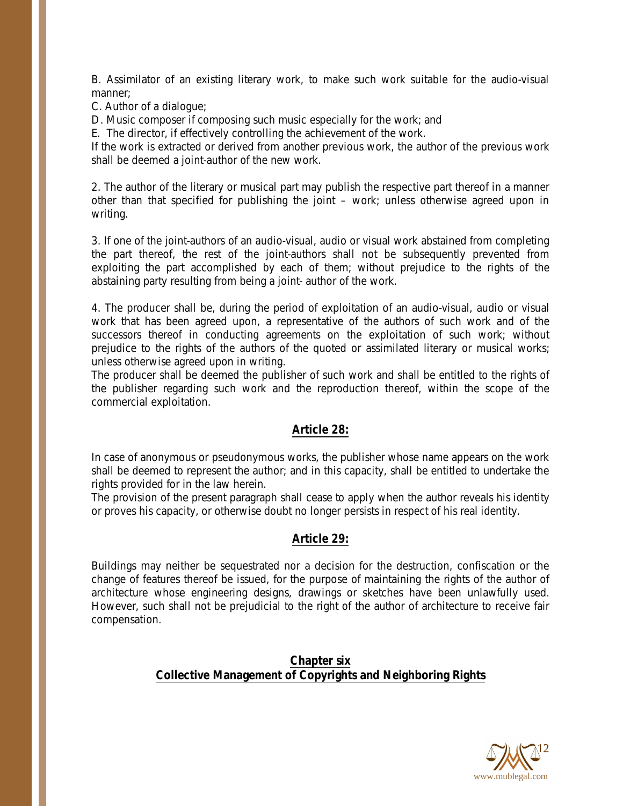B. Assimilator of an existing literary work, to make such work suitable for the audio-visual manner;

C. Author of a dialogue;

D. Music composer if composing such music especially for the work; and

E. The director, if effectively controlling the achievement of the work.

If the work is extracted or derived from another previous work, the author of the previous work shall be deemed a joint-author of the new work.

2. The author of the literary or musical part may publish the respective part thereof in a manner other than that specified for publishing the joint – work; unless otherwise agreed upon in writing.

3. If one of the joint-authors of an audio-visual, audio or visual work abstained from completing the part thereof, the rest of the joint-authors shall not be subsequently prevented from exploiting the part accomplished by each of them; without prejudice to the rights of the abstaining party resulting from being a joint- author of the work.

4. The producer shall be, during the period of exploitation of an audio-visual, audio or visual work that has been agreed upon, a representative of the authors of such work and of the successors thereof in conducting agreements on the exploitation of such work; without prejudice to the rights of the authors of the quoted or assimilated literary or musical works; unless otherwise agreed upon in writing.

The producer shall be deemed the publisher of such work and shall be entitled to the rights of the publisher regarding such work and the reproduction thereof, within the scope of the commercial exploitation.

#### **Article 28:**

In case of anonymous or pseudonymous works, the publisher whose name appears on the work shall be deemed to represent the author; and in this capacity, shall be entitled to undertake the rights provided for in the law herein.

The provision of the present paragraph shall cease to apply when the author reveals his identity or proves his capacity, or otherwise doubt no longer persists in respect of his real identity.

#### **Article 29:**

Buildings may neither be sequestrated nor a decision for the destruction, confiscation or the change of features thereof be issued, for the purpose of maintaining the rights of the author of architecture whose engineering designs, drawings or sketches have been unlawfully used. However, such shall not be prejudicial to the right of the author of architecture to receive fair compensation.

#### **Chapter six Collective Management of Copyrights and Neighboring Rights**

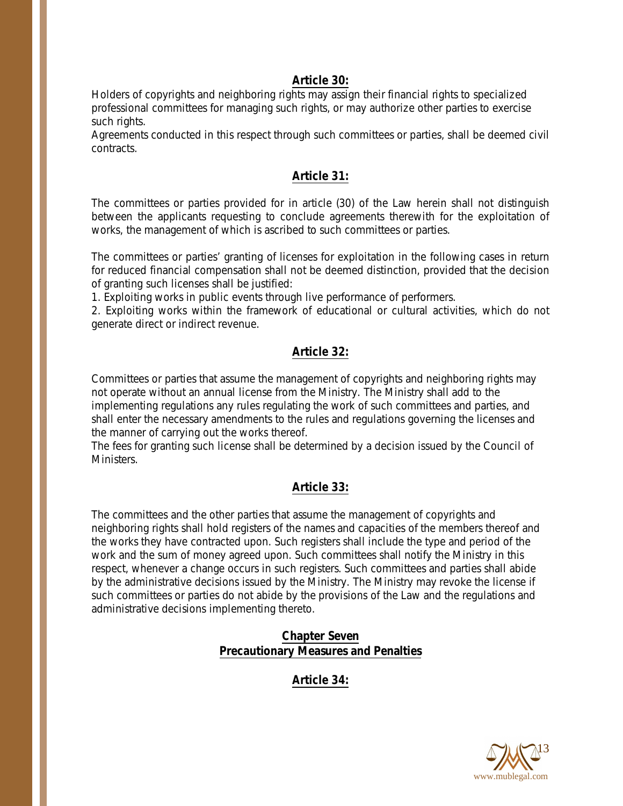#### **Article 30:**

Holders of copyrights and neighboring rights may assign their financial rights to specialized professional committees for managing such rights, or may authorize other parties to exercise such rights.

Agreements conducted in this respect through such committees or parties, shall be deemed civil contracts.

## **Article 31:**

The committees or parties provided for in article (30) of the Law herein shall not distinguish between the applicants requesting to conclude agreements therewith for the exploitation of works, the management of which is ascribed to such committees or parties.

The committees or parties' granting of licenses for exploitation in the following cases in return for reduced financial compensation shall not be deemed distinction, provided that the decision of granting such licenses shall be justified:

1. Exploiting works in public events through live performance of performers.

2. Exploiting works within the framework of educational or cultural activities, which do not generate direct or indirect revenue.

# **Article 32:**

Committees or parties that assume the management of copyrights and neighboring rights may not operate without an annual license from the Ministry. The Ministry shall add to the implementing regulations any rules regulating the work of such committees and parties, and shall enter the necessary amendments to the rules and regulations governing the licenses and the manner of carrying out the works thereof.

The fees for granting such license shall be determined by a decision issued by the Council of Ministers.

## **Article 33:**

The committees and the other parties that assume the management of copyrights and neighboring rights shall hold registers of the names and capacities of the members thereof and the works they have contracted upon. Such registers shall include the type and period of the work and the sum of money agreed upon. Such committees shall notify the Ministry in this respect, whenever a change occurs in such registers. Such committees and parties shall abide by the administrative decisions issued by the Ministry. The Ministry may revoke the license if such committees or parties do not abide by the provisions of the Law and the regulations and administrative decisions implementing thereto.

# **Chapter Seven Precautionary Measures and Penalties**

**Article 34:**

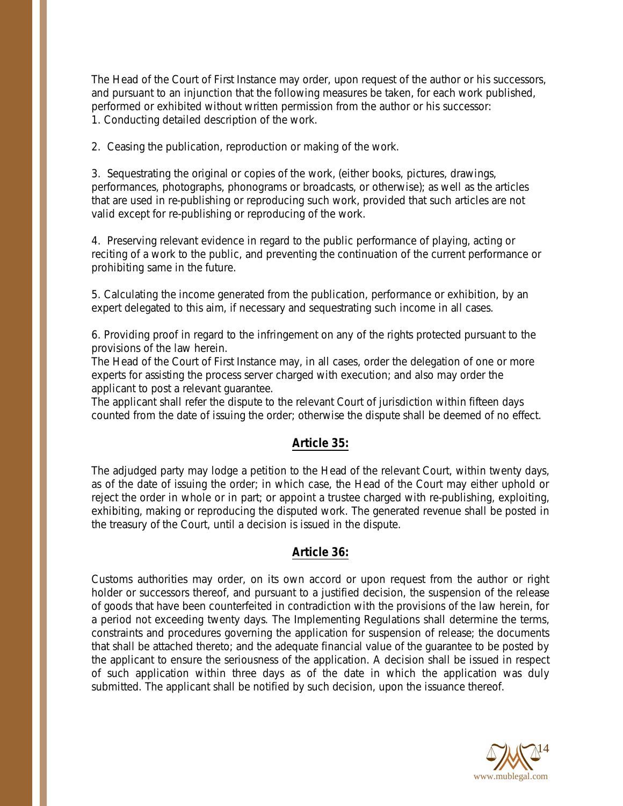The Head of the Court of First Instance may order, upon request of the author or his successors, and pursuant to an injunction that the following measures be taken, for each work published, performed or exhibited without written permission from the author or his successor: 1. Conducting detailed description of the work.

2. Ceasing the publication, reproduction or making of the work.

3. Sequestrating the original or copies of the work, (either books, pictures, drawings, performances, photographs, phonograms or broadcasts, or otherwise); as well as the articles that are used in re-publishing or reproducing such work, provided that such articles are not valid except for re-publishing or reproducing of the work.

4. Preserving relevant evidence in regard to the public performance of playing, acting or reciting of a work to the public, and preventing the continuation of the current performance or prohibiting same in the future.

5. Calculating the income generated from the publication, performance or exhibition, by an expert delegated to this aim, if necessary and sequestrating such income in all cases.

6. Providing proof in regard to the infringement on any of the rights protected pursuant to the provisions of the law herein.

The Head of the Court of First Instance may, in all cases, order the delegation of one or more experts for assisting the process server charged with execution; and also may order the applicant to post a relevant guarantee.

The applicant shall refer the dispute to the relevant Court of jurisdiction within fifteen days counted from the date of issuing the order; otherwise the dispute shall be deemed of no effect.

## **Article 35:**

The adjudged party may lodge a petition to the Head of the relevant Court, within twenty days, as of the date of issuing the order; in which case, the Head of the Court may either uphold or reject the order in whole or in part; or appoint a trustee charged with re-publishing, exploiting, exhibiting, making or reproducing the disputed work. The generated revenue shall be posted in the treasury of the Court, until a decision is issued in the dispute.

#### **Article 36:**

Customs authorities may order, on its own accord or upon request from the author or right holder or successors thereof, and pursuant to a justified decision, the suspension of the release of goods that have been counterfeited in contradiction with the provisions of the law herein, for a period not exceeding twenty days. The Implementing Regulations shall determine the terms, constraints and procedures governing the application for suspension of release; the documents that shall be attached thereto; and the adequate financial value of the guarantee to be posted by the applicant to ensure the seriousness of the application. A decision shall be issued in respect of such application within three days as of the date in which the application was duly submitted. The applicant shall be notified by such decision, upon the issuance thereof.

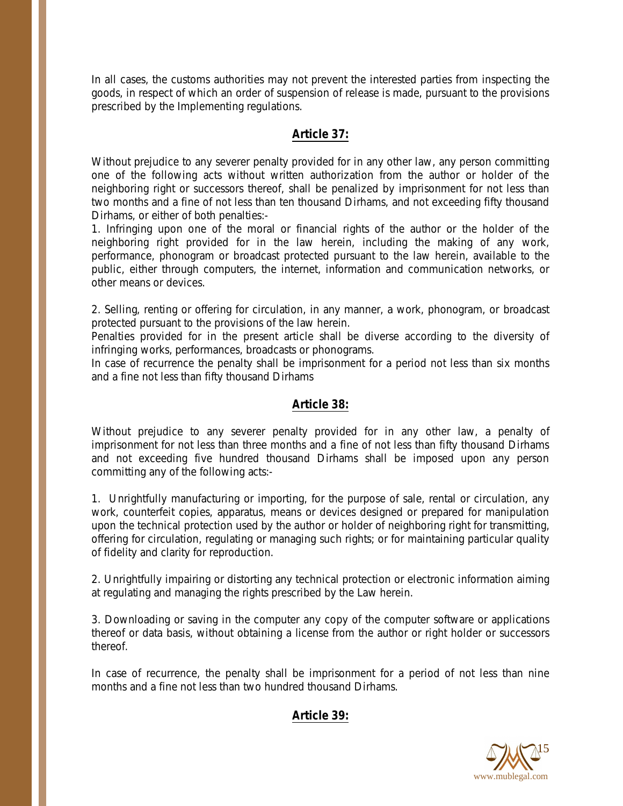In all cases, the customs authorities may not prevent the interested parties from inspecting the goods, in respect of which an order of suspension of release is made, pursuant to the provisions prescribed by the Implementing regulations.

#### **Article 37:**

Without prejudice to any severer penalty provided for in any other law, any person committing one of the following acts without written authorization from the author or holder of the neighboring right or successors thereof, shall be penalized by imprisonment for not less than two months and a fine of not less than ten thousand Dirhams, and not exceeding fifty thousand Dirhams, or either of both penalties:-

1. Infringing upon one of the moral or financial rights of the author or the holder of the neighboring right provided for in the law herein, including the making of any work, performance, phonogram or broadcast protected pursuant to the law herein, available to the public, either through computers, the internet, information and communication networks, or other means or devices.

2. Selling, renting or offering for circulation, in any manner, a work, phonogram, or broadcast protected pursuant to the provisions of the law herein.

Penalties provided for in the present article shall be diverse according to the diversity of infringing works, performances, broadcasts or phonograms.

In case of recurrence the penalty shall be imprisonment for a period not less than six months and a fine not less than fifty thousand Dirhams

#### **Article 38:**

Without prejudice to any severer penalty provided for in any other law, a penalty of imprisonment for not less than three months and a fine of not less than fifty thousand Dirhams and not exceeding five hundred thousand Dirhams shall be imposed upon any person committing any of the following acts:-

1. Unrightfully manufacturing or importing, for the purpose of sale, rental or circulation, any work, counterfeit copies, apparatus, means or devices designed or prepared for manipulation upon the technical protection used by the author or holder of neighboring right for transmitting, offering for circulation, regulating or managing such rights; or for maintaining particular quality of fidelity and clarity for reproduction.

2. Unrightfully impairing or distorting any technical protection or electronic information aiming at regulating and managing the rights prescribed by the Law herein.

3. Downloading or saving in the computer any copy of the computer software or applications thereof or data basis, without obtaining a license from the author or right holder or successors thereof.

In case of recurrence, the penalty shall be imprisonment for a period of not less than nine months and a fine not less than two hundred thousand Dirhams.

## **Article 39:**

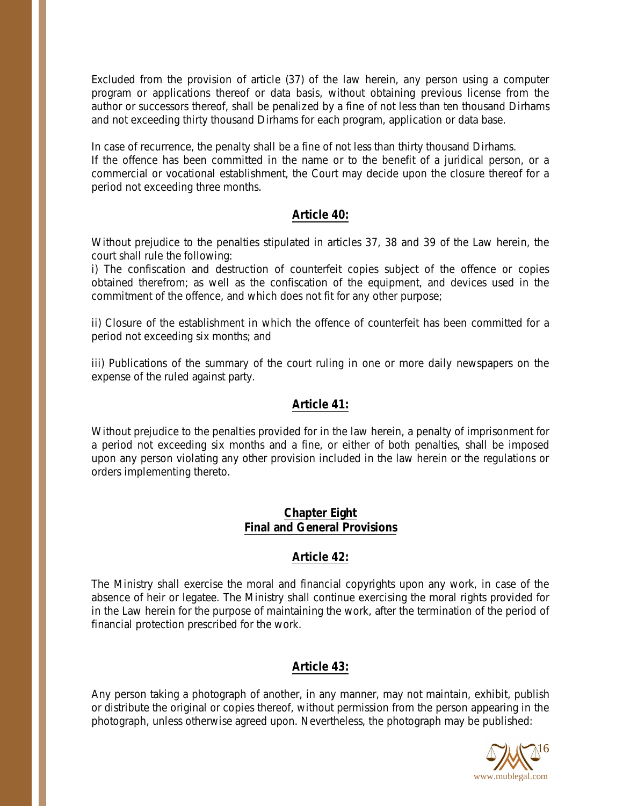Excluded from the provision of article (37) of the law herein, any person using a computer program or applications thereof or data basis, without obtaining previous license from the author or successors thereof, shall be penalized by a fine of not less than ten thousand Dirhams and not exceeding thirty thousand Dirhams for each program, application or data base.

In case of recurrence, the penalty shall be a fine of not less than thirty thousand Dirhams. If the offence has been committed in the name or to the benefit of a juridical person, or a commercial or vocational establishment, the Court may decide upon the closure thereof for a period not exceeding three months.

#### **Article 40:**

Without prejudice to the penalties stipulated in articles 37, 38 and 39 of the Law herein, the court shall rule the following:

i) The confiscation and destruction of counterfeit copies subject of the offence or copies obtained therefrom; as well as the confiscation of the equipment, and devices used in the commitment of the offence, and which does not fit for any other purpose;

ii) Closure of the establishment in which the offence of counterfeit has been committed for a period not exceeding six months; and

iii) Publications of the summary of the court ruling in one or more daily newspapers on the expense of the ruled against party.

#### **Article 41:**

Without prejudice to the penalties provided for in the law herein, a penalty of imprisonment for a period not exceeding six months and a fine, or either of both penalties, shall be imposed upon any person violating any other provision included in the law herein or the regulations or orders implementing thereto.

#### **Chapter Eight Final and General Provisions**

## **Article 42:**

The Ministry shall exercise the moral and financial copyrights upon any work, in case of the absence of heir or legatee. The Ministry shall continue exercising the moral rights provided for in the Law herein for the purpose of maintaining the work, after the termination of the period of financial protection prescribed for the work.

## **Article 43:**

Any person taking a photograph of another, in any manner, may not maintain, exhibit, publish or distribute the original or copies thereof, without permission from the person appearing in the photograph, unless otherwise agreed upon. Nevertheless, the photograph may be published:

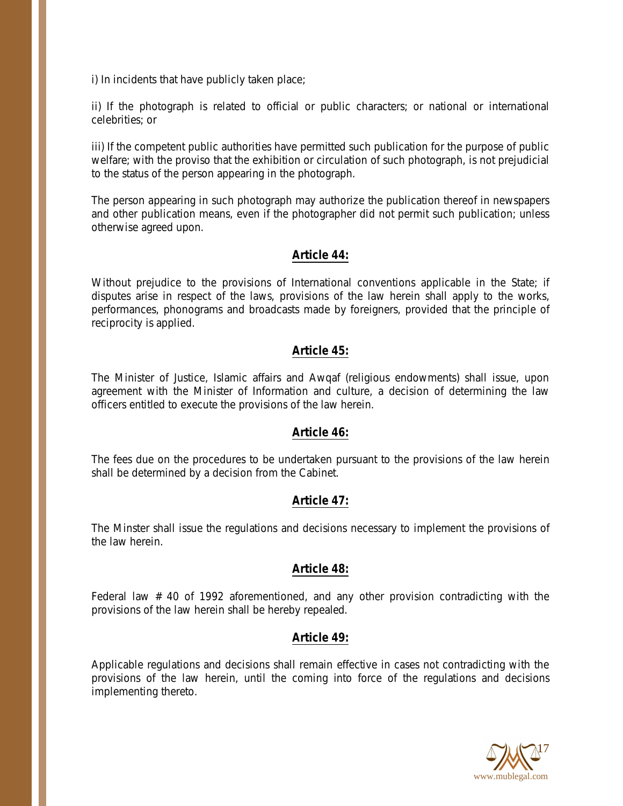i) In incidents that have publicly taken place;

ii) If the photograph is related to official or public characters; or national or international celebrities; or

iii) If the competent public authorities have permitted such publication for the purpose of public welfare; with the proviso that the exhibition or circulation of such photograph, is not prejudicial to the status of the person appearing in the photograph.

The person appearing in such photograph may authorize the publication thereof in newspapers and other publication means, even if the photographer did not permit such publication; unless otherwise agreed upon.

#### **Article 44:**

Without prejudice to the provisions of International conventions applicable in the State; if disputes arise in respect of the laws, provisions of the law herein shall apply to the works, performances, phonograms and broadcasts made by foreigners, provided that the principle of reciprocity is applied.

#### **Article 45:**

The Minister of Justice, Islamic affairs and Awqaf (religious endowments) shall issue, upon agreement with the Minister of Information and culture, a decision of determining the law officers entitled to execute the provisions of the law herein.

#### **Article 46:**

The fees due on the procedures to be undertaken pursuant to the provisions of the law herein shall be determined by a decision from the Cabinet.

#### **Article 47:**

The Minster shall issue the regulations and decisions necessary to implement the provisions of the law herein.

#### **Article 48:**

Federal law # 40 of 1992 aforementioned, and any other provision contradicting with the provisions of the law herein shall be hereby repealed.

#### **Article 49:**

Applicable regulations and decisions shall remain effective in cases not contradicting with the provisions of the law herein, until the coming into force of the regulations and decisions implementing thereto.